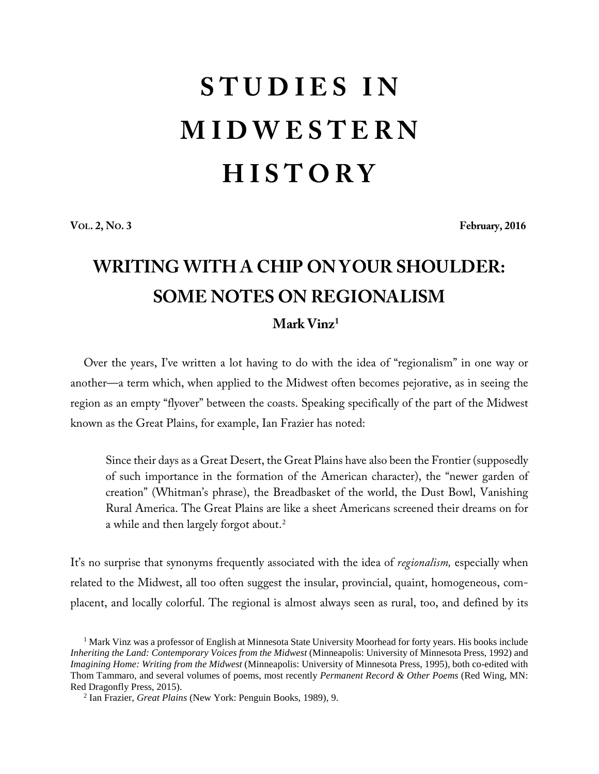## **S T U D I E S I N M I D W E S T E R N H I S T O R Y**

**VOL. 2, NO. 3 February, 2016**

## **WRITING WITH A CHIP ON YOUR SHOULDER: SOME NOTES ON REGIONALISM Mark Vinz[1](#page-0-0)**

Over the years, I've written a lot having to do with the idea of "regionalism" in one way or another—a term which, when applied to the Midwest often becomes pejorative, as in seeing the region as an empty "flyover" between the coasts. Speaking specifically of the part of the Midwest known as the Great Plains, for example, Ian Frazier has noted:

Since their days as a Great Desert, the Great Plains have also been the Frontier (supposedly of such importance in the formation of the American character), the "newer garden of creation" (Whitman's phrase), the Breadbasket of the world, the Dust Bowl, Vanishing Rural America. The Great Plains are like a sheet Americans screened their dreams on for a while and then largely forgot about.<sup>[2](#page-0-1)</sup>

It's no surprise that synonyms frequently associated with the idea of *regionalism,* especially when related to the Midwest, all too often suggest the insular, provincial, quaint, homogeneous, complacent, and locally colorful. The regional is almost always seen as rural, too, and defined by its

<span id="page-0-0"></span><sup>&</sup>lt;sup>1</sup> Mark Vinz was a professor of English at Minnesota State University Moorhead for forty years. His books include *Inheriting the Land: Contemporary Voices from the Midwest* (Minneapolis: University of Minnesota Press, 1992) and *Imagining Home: Writing from the Midwest* (Minneapolis: University of Minnesota Press, 1995), both co-edited with Thom Tammaro, and several volumes of poems, most recently *Permanent Record & Other Poems* (Red Wing, MN: Red Dragonfly Press, 2015).

<span id="page-0-1"></span><sup>2</sup> Ian Frazier, *Great Plains* (New York: Penguin Books, 1989), 9.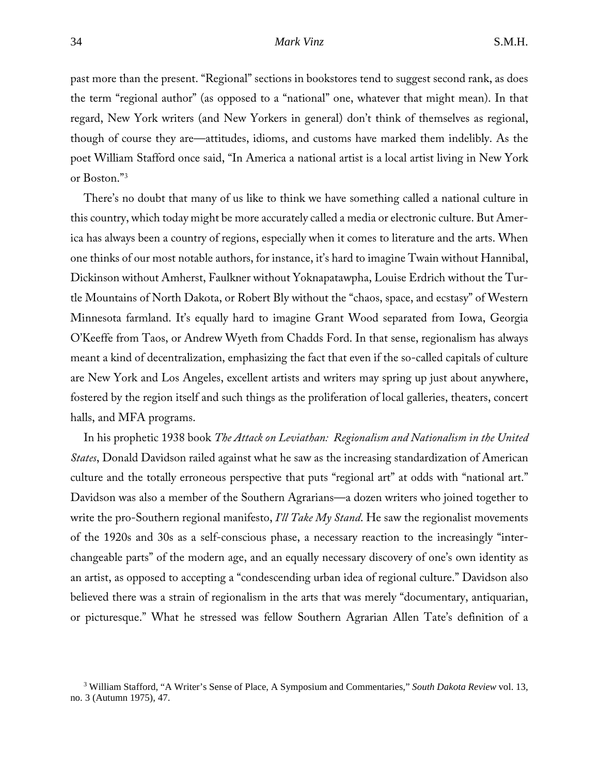## 34 *Mark Vinz* S.M.H.

past more than the present. "Regional" sections in bookstores tend to suggest second rank, as does the term "regional author" (as opposed to a "national" one, whatever that might mean). In that regard, New York writers (and New Yorkers in general) don't think of themselves as regional, though of course they are—attitudes, idioms, and customs have marked them indelibly. As the poet William Stafford once said, "In America a national artist is a local artist living in New York or Boston."[3](#page-1-0)

There's no doubt that many of us like to think we have something called a national culture in this country, which today might be more accurately called a media or electronic culture. But America has always been a country of regions, especially when it comes to literature and the arts. When one thinks of our most notable authors, for instance, it's hard to imagine Twain without Hannibal, Dickinson without Amherst, Faulkner without Yoknapatawpha, Louise Erdrich without the Turtle Mountains of North Dakota, or Robert Bly without the "chaos, space, and ecstasy" of Western Minnesota farmland. It's equally hard to imagine Grant Wood separated from Iowa, Georgia O'Keeffe from Taos, or Andrew Wyeth from Chadds Ford. In that sense, regionalism has always meant a kind of decentralization, emphasizing the fact that even if the so-called capitals of culture are New York and Los Angeles, excellent artists and writers may spring up just about anywhere, fostered by the region itself and such things as the proliferation of local galleries, theaters, concert halls, and MFA programs.

In his prophetic 1938 book *The Attack on Leviathan: Regionalism and Nationalism in the United States*, Donald Davidson railed against what he saw as the increasing standardization of American culture and the totally erroneous perspective that puts "regional art" at odds with "national art." Davidson was also a member of the Southern Agrarians—a dozen writers who joined together to write the pro-Southern regional manifesto, *I'll Take My Stand*. He saw the regionalist movements of the 1920s and 30s as a self-conscious phase, a necessary reaction to the increasingly "interchangeable parts" of the modern age, and an equally necessary discovery of one's own identity as an artist, as opposed to accepting a "condescending urban idea of regional culture." Davidson also believed there was a strain of regionalism in the arts that was merely "documentary, antiquarian, or picturesque." What he stressed was fellow Southern Agrarian Allen Tate's definition of a

<span id="page-1-0"></span><sup>3</sup> William Stafford, "A Writer's Sense of Place, A Symposium and Commentaries," *South Dakota Review* vol. 13, no. 3 (Autumn 1975), 47.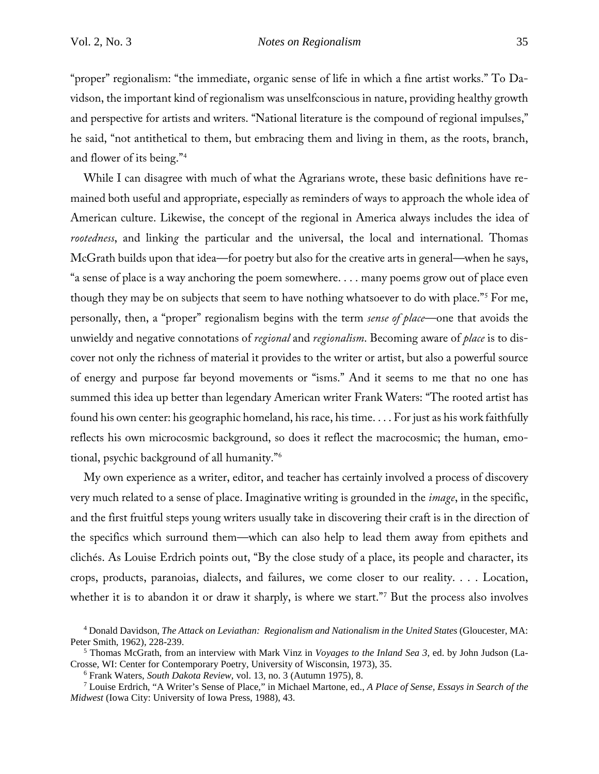"proper" regionalism: "the immediate, organic sense of life in which a fine artist works." To Davidson, the important kind of regionalism was unselfconscious in nature, providing healthy growth and perspective for artists and writers. "National literature is the compound of regional impulses," he said, "not antithetical to them, but embracing them and living in them, as the roots, branch, and flower of its being."[4](#page-2-0)

While I can disagree with much of what the Agrarians wrote, these basic definitions have remained both useful and appropriate, especially as reminders of ways to approach the whole idea of American culture. Likewise, the concept of the regional in America always includes the idea of *rootedness*, and linkin*g* the particular and the universal, the local and international. Thomas McGrath builds upon that idea—for poetry but also for the creative arts in general—when he says, "a sense of place is a way anchoring the poem somewhere. . . . many poems grow out of place even though they may be on subjects that seem to have nothing whatsoever to do with place."[5](#page-2-1) For me, personally, then, a "proper" regionalism begins with the term *sense of place*—one that avoids the unwieldy and negative connotations of *regional* and *regionalism*. Becoming aware of *place* is to discover not only the richness of material it provides to the writer or artist, but also a powerful source of energy and purpose far beyond movements or "isms." And it seems to me that no one has summed this idea up better than legendary American writer Frank Waters: "The rooted artist has found his own center: his geographic homeland, his race, his time. . . . For just as his work faithfully reflects his own microcosmic background, so does it reflect the macrocosmic; the human, emotional, psychic background of all humanity."[6](#page-2-2)

My own experience as a writer, editor, and teacher has certainly involved a process of discovery very much related to a sense of place. Imaginative writing is grounded in the *image*, in the specific, and the first fruitful steps young writers usually take in discovering their craft is in the direction of the specifics which surround them—which can also help to lead them away from epithets and clichés. As Louise Erdrich points out, "By the close study of a place, its people and character, its crops, products, paranoias, dialects, and failures, we come closer to our reality. . . . Location, whether it is to abandon it or draw it sharply, is where we start."<sup>[7](#page-2-3)</sup> But the process also involves

<span id="page-2-0"></span><sup>4</sup> Donald Davidson, *The Attack on Leviathan: Regionalism and Nationalism in the United States* (Gloucester, MA: Peter Smith, 1962), 228-239. 5 Thomas McGrath, from an interview with Mark Vinz in *Voyages to the Inland Sea 3*, ed. by John Judson (La-

<span id="page-2-1"></span>Crosse, WI: Center for Contemporary Poetry, University of Wisconsin, 1973), 35.<br><sup>6</sup> Frank Waters, *South Dakota Review*, vol. 13, no. 3 (Autumn 1975), 8.<br><sup>7</sup> Louise Erdrich, "A Writer's Sense of Place," in Michael Martone,

<span id="page-2-3"></span><span id="page-2-2"></span>*Midwest* (Iowa City: University of Iowa Press, 1988), 43.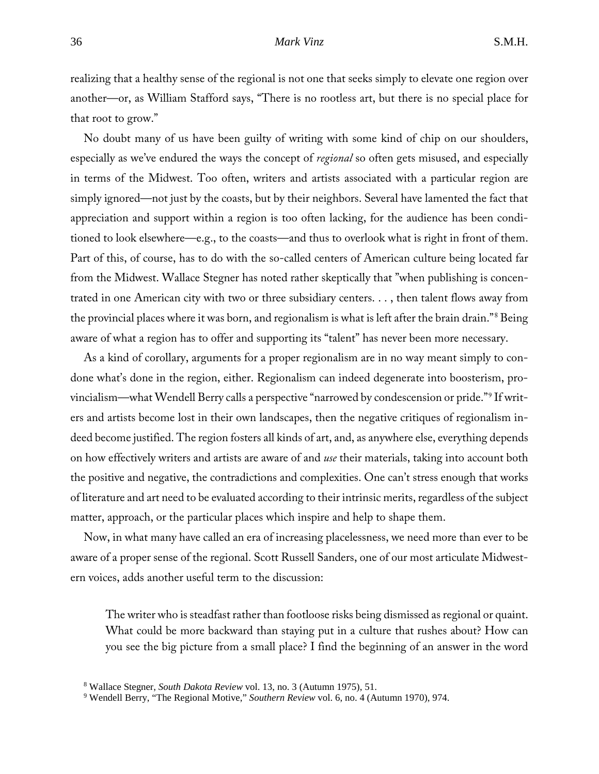## 36 *Mark Vinz* S.M.H.

realizing that a healthy sense of the regional is not one that seeks simply to elevate one region over another—or, as William Stafford says, "There is no rootless art, but there is no special place for that root to grow."

No doubt many of us have been guilty of writing with some kind of chip on our shoulders, especially as we've endured the ways the concept of *regional* so often gets misused, and especially in terms of the Midwest. Too often, writers and artists associated with a particular region are simply ignored—not just by the coasts, but by their neighbors. Several have lamented the fact that appreciation and support within a region is too often lacking, for the audience has been conditioned to look elsewhere—e.g., to the coasts—and thus to overlook what is right in front of them. Part of this, of course, has to do with the so-called centers of American culture being located far from the Midwest. Wallace Stegner has noted rather skeptically that "when publishing is concentrated in one American city with two or three subsidiary centers. . . , then talent flows away from the provincial places where it was born, and regionalism is what is left after the brain drain."[8](#page-3-0) Being aware of what a region has to offer and supporting its "talent" has never been more necessary.

As a kind of corollary, arguments for a proper regionalism are in no way meant simply to condone what's done in the region, either. Regionalism can indeed degenerate into boosterism, provincialism—what Wendell Berry calls a perspective "narrowed by condescension or pride."[9](#page-3-1) If writers and artists become lost in their own landscapes, then the negative critiques of regionalism indeed become justified. The region fosters all kinds of art, and, as anywhere else, everything depends on how effectively writers and artists are aware of and *use* their materials, taking into account both the positive and negative, the contradictions and complexities. One can't stress enough that works of literature and art need to be evaluated according to their intrinsic merits, regardless of the subject matter, approach, or the particular places which inspire and help to shape them.

Now, in what many have called an era of increasing placelessness, we need more than ever to be aware of a proper sense of the regional. Scott Russell Sanders, one of our most articulate Midwestern voices, adds another useful term to the discussion:

The writer who is steadfast rather than footloose risks being dismissed as regional or quaint. What could be more backward than staying put in a culture that rushes about? How can you see the big picture from a small place? I find the beginning of an answer in the word

<span id="page-3-1"></span><span id="page-3-0"></span><sup>8</sup> Wallace Stegner, *South Dakota Review* vol. 13, no. 3 (Autumn 1975), 51. 9 Wendell Berry, "The Regional Motive," *Southern Review* vol. 6, no. 4 (Autumn 1970), 974.